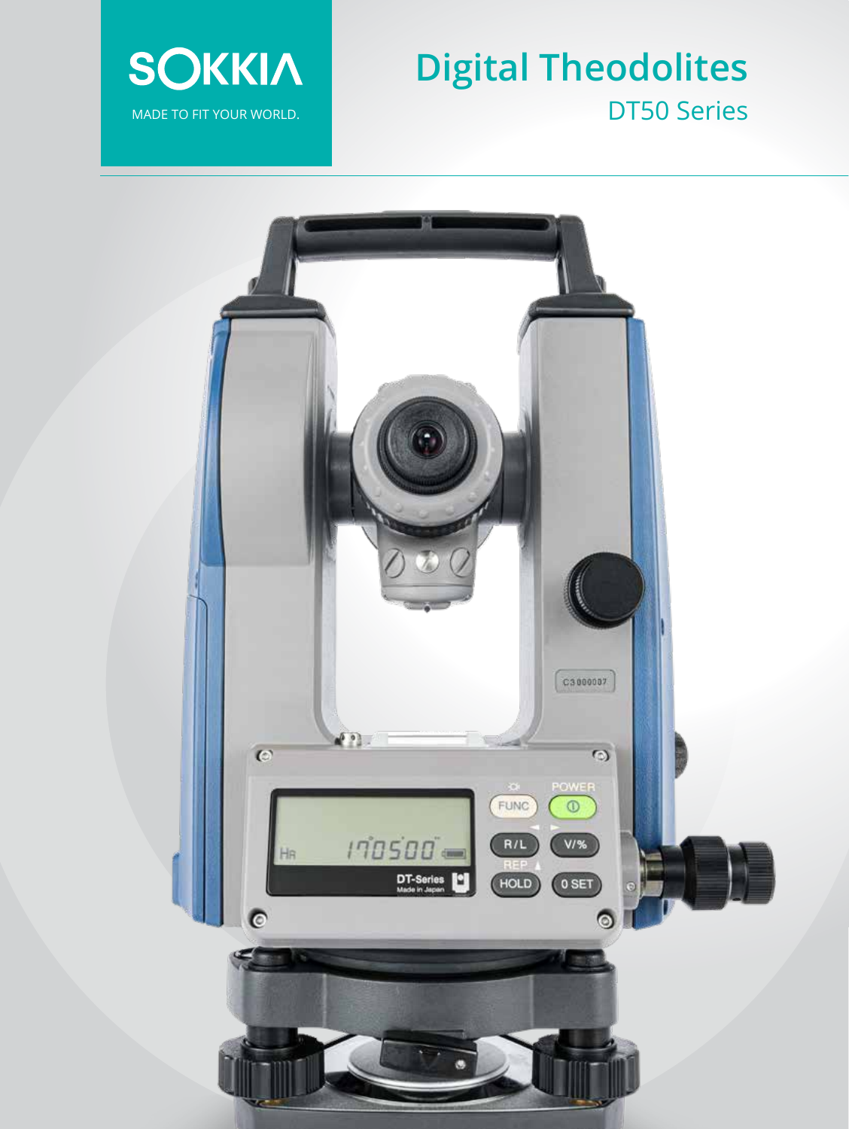

# **Digital Theodolites** DT50 Series

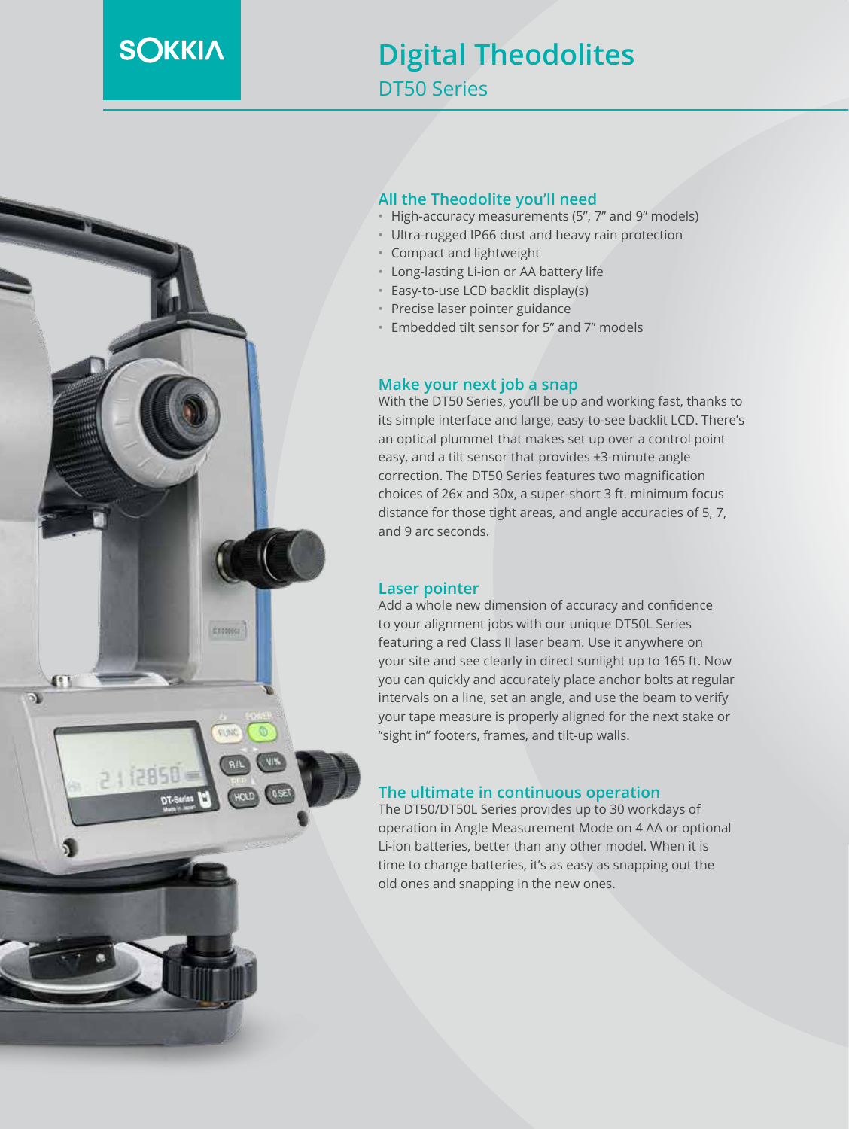## **SOKKIA**

### **Digital Theodolites** DT50 Series



#### **All the Theodolite you'll need**

- High-accuracy measurements (5", 7" and 9" models)
- Ultra-rugged IP66 dust and heavy rain protection
- Compact and lightweight
- Long-lasting Li-ion or AA battery life
- Easy-to-use LCD backlit display(s)
- Precise laser pointer guidance
- Embedded tilt sensor for 5" and 7" models

#### **Make your next job a snap**

With the DT50 Series, you'll be up and working fast, thanks to its simple interface and large, easy-to-see backlit LCD. There's an optical plummet that makes set up over a control point easy, and a tilt sensor that provides ±3-minute angle correction. The DT50 Series features two magnification choices of 26x and 30x, a super-short 3 ft. minimum focus distance for those tight areas, and angle accuracies of 5, 7, and 9 arc seconds.

#### **Laser pointer**

Add a whole new dimension of accuracy and confidence to your alignment jobs with our unique DT50L Series featuring a red Class II laser beam. Use it anywhere on your site and see clearly in direct sunlight up to 165 ft. Now you can quickly and accurately place anchor bolts at regular intervals on a line, set an angle, and use the beam to verify your tape measure is properly aligned for the next stake or "sight in" footers, frames, and tilt-up walls.

#### **The ultimate in continuous operation**

The DT50/DT50L Series provides up to 30 workdays of operation in Angle Measurement Mode on 4 AA or optional Li-ion batteries, better than any other model. When it is time to change batteries, it's as easy as snapping out the old ones and snapping in the new ones.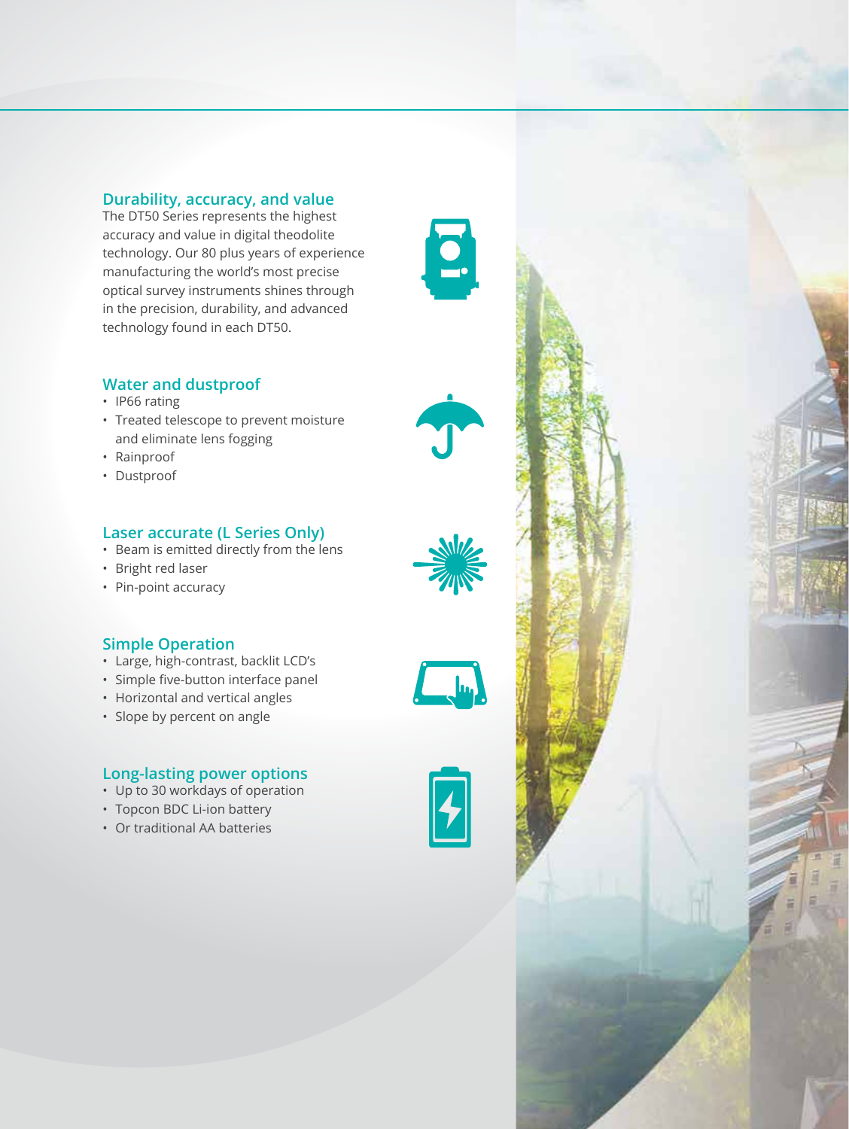#### **Durability, accuracy, and value**

The DT50 Series represents the highest accuracy and value in digital theodolite technology. Our 80 plus years of experience manufacturing the world's most precise optical survey instruments shines through in the precision, durability, and advanced technology found in each DT50.

#### **Water and dustproof**

- IP66 rating
- Treated telescope to prevent moisture and eliminate lens fogging
- Rainproof
- Dustproof

#### **Laser accurate (L Series Only)**

- Beam is emitted directly from the lens
- Bright red laser
- Pin-point accuracy

#### **Simple Operation**

- Large, high-contrast, backlit LCD's
- Simple five-button interface panel
- Horizontal and vertical angles
- Slope by percent on angle

#### **Long-lasting power options**

- Up to 30 workdays of operation
- Topcon BDC Li-ion battery
- Or traditional AA batteries